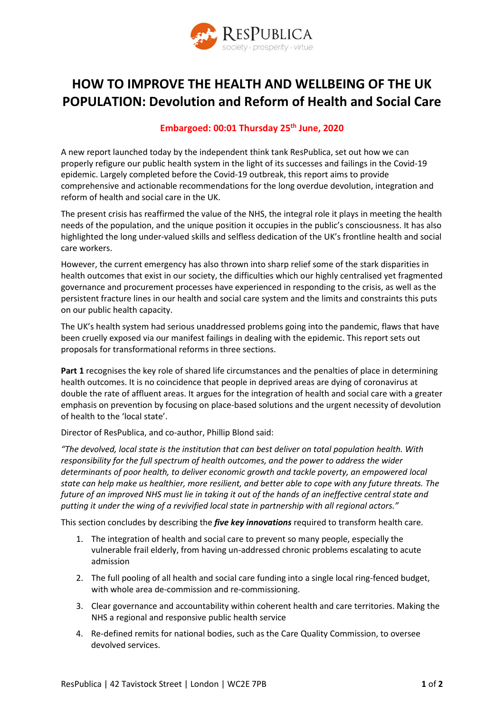

## **HOW TO IMPROVE THE HEALTH AND WELLBEING OF THE UK POPULATION: Devolution and Reform of Health and Social Care**

## **Embargoed: 00:01 Thursday 25th June, 2020**

A new report launched today by the independent think tank ResPublica, set out how we can properly refigure our public health system in the light of its successes and failings in the Covid-19 epidemic. Largely completed before the Covid-19 outbreak, this report aims to provide comprehensive and actionable recommendations for the long overdue devolution, integration and reform of health and social care in the UK.

The present crisis has reaffirmed the value of the NHS, the integral role it plays in meeting the health needs of the population, and the unique position it occupies in the public's consciousness. It has also highlighted the long under-valued skills and selfless dedication of the UK's frontline health and social care workers.

However, the current emergency has also thrown into sharp relief some of the stark disparities in health outcomes that exist in our society, the difficulties which our highly centralised yet fragmented governance and procurement processes have experienced in responding to the crisis, as well as the persistent fracture lines in our health and social care system and the limits and constraints this puts on our public health capacity.

The UK's health system had serious unaddressed problems going into the pandemic, flaws that have been cruelly exposed via our manifest failings in dealing with the epidemic. This report sets out proposals for transformational reforms in three sections.

**Part 1** recognises the key role of shared life circumstances and the penalties of place in determining health outcomes. It is no coincidence that people in deprived areas are dying of coronavirus at double the rate of affluent areas. It argues for the integration of health and social care with a greater emphasis on prevention by focusing on place-based solutions and the urgent necessity of devolution of health to the 'local state'.

Director of ResPublica, and co-author, Phillip Blond said:

*"The devolved, local state is the institution that can best deliver on total population health. With responsibility for the full spectrum of health outcomes, and the power to address the wider determinants of poor health, to deliver economic growth and tackle poverty, an empowered local state can help make us healthier, more resilient, and better able to cope with any future threats. The future of an improved NHS must lie in taking it out of the hands of an ineffective central state and putting it under the wing of a revivified local state in partnership with all regional actors."*

This section concludes by describing the *five key innovations* required to transform health care.

- 1. The integration of health and social care to prevent so many people, especially the vulnerable frail elderly, from having un-addressed chronic problems escalating to acute admission
- 2. The full pooling of all health and social care funding into a single local ring-fenced budget, with whole area de-commission and re-commissioning.
- 3. Clear governance and accountability within coherent health and care territories. Making the NHS a regional and responsive public health service
- 4. Re-defined remits for national bodies, such as the Care Quality Commission, to oversee devolved services.